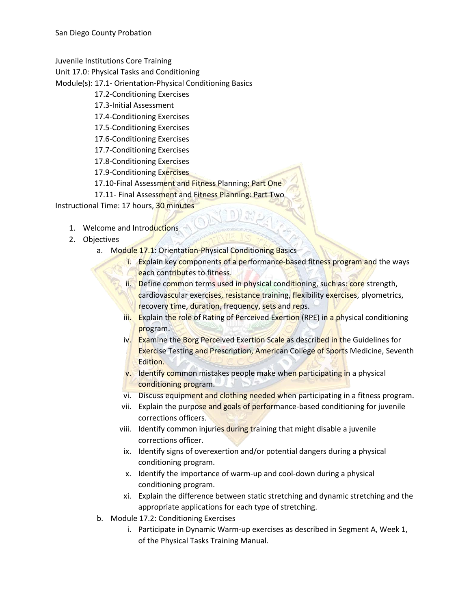Juvenile Institutions Core Training

Unit 17.0: Physical Tasks and Conditioning

Module(s): 17.1- Orientation-Physical Conditioning Basics

- 17.2-Conditioning Exercises
- 17.3-Initial Assessment
- 17.4-Conditioning Exercises
- 17.5-Conditioning Exercises
- 17.6-Conditioning Exercises
- 17.7-Conditioning Exercises
- 17.8-Conditioning Exercises
- 17.9-Conditioning Exercises
- 17.10-Final Assessment and Fitness Planning: Part One
- 17.11- Final Assessment and Fitness Planning: Part Two

Instructional Time: 17 hours, 30 minutes

- 1. Welcome and Introductions
- 2. Objectives
	- a. Module 17.1: Orientation-Physical Conditioning Basics
		- i. Explain key components of a performance-based fitness program and the ways each contributes to fitness.
		- ii. Define common terms used in physical conditioning, such as: core strength, cardiovascular exercises, resistance training, flexibility exercises, plyometrics, recovery time, duration, frequency, sets and reps.
		- iii. Explain the role of Rating of Perceived Exertion (RPE) in a physical conditioning program.
		- iv. Examine the Borg Perceived Exertion Scale as described in the Guidelines for **Exercise Testing and Prescription, American College of Sports Medicine, Seventh** Edition.
		- v. Identify common mistakes people make when participating in a physical conditioning program.
		- vi. Discuss equipment and clothing needed when participating in a fitness program.
		- vii. Explain the purpose and goals of performance-based conditioning for juvenile corrections officers.
		- viii. Identify common injuries during training that might disable a juvenile corrections officer.
		- ix. Identify signs of overexertion and/or potential dangers during a physical conditioning program.
		- x. Identify the importance of warm-up and cool-down during a physical conditioning program.
		- xi. Explain the difference between static stretching and dynamic stretching and the appropriate applications for each type of stretching.
	- b. Module 17.2: Conditioning Exercises
		- i. Participate in Dynamic Warm-up exercises as described in Segment A, Week 1, of the Physical Tasks Training Manual.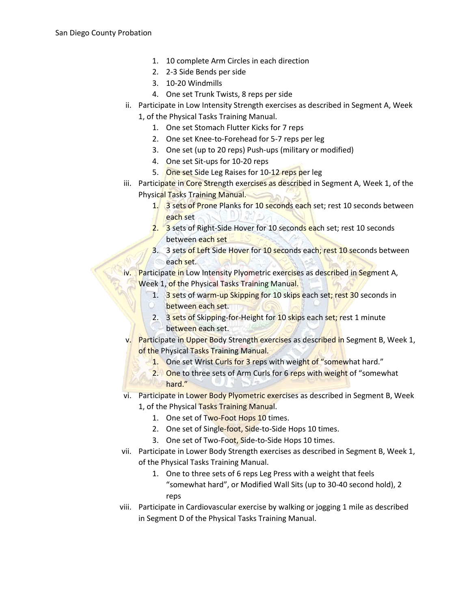- 1. 10 complete Arm Circles in each direction
- 2. 2-3 Side Bends per side
- 3. 10-20 Windmills
- 4. One set Trunk Twists, 8 reps per side
- ii. Participate in Low Intensity Strength exercises as described in Segment A, Week
	- 1, of the Physical Tasks Training Manual.
		- 1. One set Stomach Flutter Kicks for 7 reps
		- 2. One set Knee-to-Forehead for 5-7 reps per leg
		- 3. One set (up to 20 reps) Push-ups (military or modified)
		- 4. One set Sit-ups for 10-20 reps
		- 5. One set Side Leg Raises for 10-12 reps per leg
- iii. Participate in Core Strength exercises as described in Segment A, Week 1, of the Physical Tasks Training Manual.
	- 1. 3 sets of Prone Planks for 10 seconds each set; rest 10 seconds between each set  $N$
	- 2. 3 sets of Right-Side Hover for 10 seconds each set; rest 10 seconds between each set
	- 3. 3 sets of Left Side Hover for 10 seconds each; rest 10 seconds between each set.

iv. Participate in Low Intensity Plyometric exercises as described in Segment A, Week 1, of the Physical Tasks Training Manual.

- 1. 3 sets of warm-up Skipping for 10 skips each set; rest 30 seconds in between each set.
- 2. 3 sets of Skipping-for-Height for 10 skips each set; rest 1 minute between each set.
- v. Participate in Upper Body Strength exercises as described in Segment B, Week 1, of the Physical Tasks Training Manual.
	- 1. One set Wrist Curls for 3 reps with weight of "somewhat hard."
	- 2. One to three sets of Arm Curls for 6 reps with weight of "somewhat" hard."
- vi. Participate in Lower Body Plyometric exercises as described in Segment B, Week 1, of the Physical Tasks Training Manual.
	- 1. One set of Two-Foot Hops 10 times.
	- 2. One set of Single-foot, Side-to-Side Hops 10 times.
	- 3. One set of Two-Foot, Side-to-Side Hops 10 times.
- vii. Participate in Lower Body Strength exercises as described in Segment B, Week 1, of the Physical Tasks Training Manual.
	- 1. One to three sets of 6 reps Leg Press with a weight that feels "somewhat hard", or Modified Wall Sits (up to 30-40 second hold), 2 reps
- viii. Participate in Cardiovascular exercise by walking or jogging 1 mile as described in Segment D of the Physical Tasks Training Manual.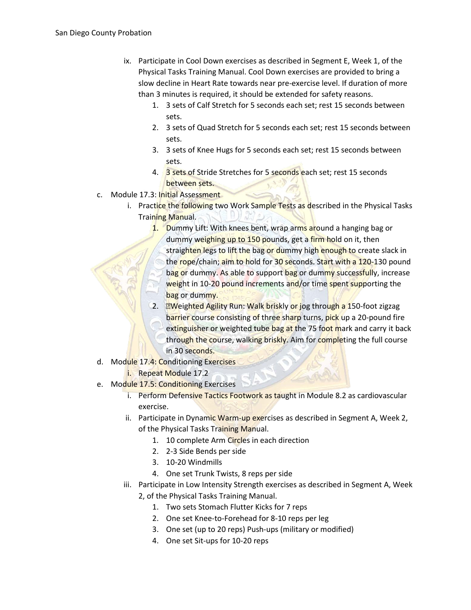- ix. Participate in Cool Down exercises as described in Segment E, Week 1, of the Physical Tasks Training Manual. Cool Down exercises are provided to bring a slow decline in Heart Rate towards near pre-exercise level. If duration of more than 3 minutes is required, it should be extended for safety reasons.
	- 1. 3 sets of Calf Stretch for 5 seconds each set; rest 15 seconds between sets.
	- 2. 3 sets of Quad Stretch for 5 seconds each set; rest 15 seconds between sets.
	- 3. 3 sets of Knee Hugs for 5 seconds each set; rest 15 seconds between sets.
	- 4. 3 sets of Stride Stretches for 5 seconds each set; rest 15 seconds between sets.
- c. Module 17.3: Initial Assessment
	- i. Practice the following two Work Sample Tests as described in the Physical Tasks Training Manual. N
		- 1. Dummy Lift: With knees bent, wrap arms around a hanging bag or dummy weighing up to 150 pounds, get a firm hold on it, then straighten legs to lift the bag or dummy high enough to create slack in the rope/chain; aim to hold for 30 seconds. Start with a 120-130 pound bag or dummy. As able to support bag or dummy successfully, increase weight in 10-20 pound increments and/or time spent supporting the bag or dummy.
		- 2. **ZWeighted Agility Run: Walk briskly or jog through a 150-foot zigzag** barrier course consisting of three sharp turns, pick up a 20-pound fire extinguisher or weighted tube bag at the 75 foot mark and carry it back through the course, walking briskly. Aim for completing the full course in 30 seconds.
- d. Module 17.4: Conditioning Exercises
	- i. Repeat Module 17.2
- e. Module 17.5: Conditioning Exercises
	- i. Perform Defensive Tactics Footwork as taught in Module 8.2 as cardiovascular exercise.
	- ii. Participate in Dynamic Warm-up exercises as described in Segment A, Week 2, of the Physical Tasks Training Manual.
		- 1. 10 complete Arm Circles in each direction
		- 2. 2-3 Side Bends per side
		- 3. 10-20 Windmills
		- 4. One set Trunk Twists, 8 reps per side
	- iii. Participate in Low Intensity Strength exercises as described in Segment A, Week 2, of the Physical Tasks Training Manual.
		- 1. Two sets Stomach Flutter Kicks for 7 reps
		- 2. One set Knee-to-Forehead for 8-10 reps per leg
		- 3. One set (up to 20 reps) Push-ups (military or modified)
		- 4. One set Sit-ups for 10-20 reps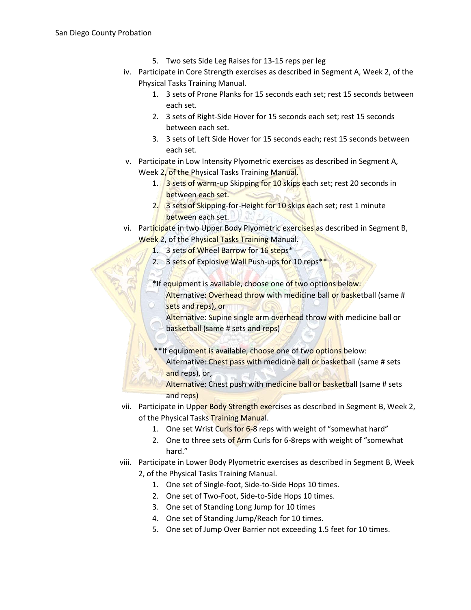- 5. Two sets Side Leg Raises for 13-15 reps per leg
- iv. Participate in Core Strength exercises as described in Segment A, Week 2, of the Physical Tasks Training Manual.
	- 1. 3 sets of Prone Planks for 15 seconds each set; rest 15 seconds between each set.
	- 2. 3 sets of Right-Side Hover for 15 seconds each set; rest 15 seconds between each set.
	- 3. 3 sets of Left Side Hover for 15 seconds each; rest 15 seconds between each set.
- v. Participate in Low Intensity Plyometric exercises as described in Segment A, Week 2, of the Physical Tasks Training Manual.
	- 1. 3 sets of warm-up Skipping for 10 skips each set; rest 20 seconds in between each set.
	- 2. 3 sets of Skipping-for-Height for 10 skips each set; rest 1 minute between each set.  $1 N$
- vi. Participate in two Upper Body Plyometric exercises as described in Segment B, Week 2, of the Physical Tasks Training Manual.
	- 1. 3 sets of Wheel Barrow for 16 steps\*
	- 2. 3 sets of Explosive Wall Push-ups for 10 reps<sup>\*</sup>
	- \*If equipment is available, choose one of two options below:
		- Alternative: Overhead throw with medicine ball or basketball (same # sets and reps), or
		- Alternative: Supine single arm overhead throw with medicine ball or basketball (same # sets and reps)
	- \*\*If equipment is available, choose one of two options below:
		- Alternative: Chest pass with medicine ball or basketball (same # sets and reps), or,
		- Alternative: Chest push with medicine ball or basketball (same # sets and reps)
- vii. Participate in Upper Body Strength exercises as described in Segment B, Week 2, of the Physical Tasks Training Manual.
	- 1. One set Wrist Curls for 6-8 reps with weight of "somewhat hard"
	- 2. One to three sets of Arm Curls for 6-8reps with weight of "somewhat hard."
- viii. Participate in Lower Body Plyometric exercises as described in Segment B, Week 2, of the Physical Tasks Training Manual.
	- 1. One set of Single-foot, Side-to-Side Hops 10 times.
	- 2. One set of Two-Foot, Side-to-Side Hops 10 times.
	- 3. One set of Standing Long Jump for 10 times
	- 4. One set of Standing Jump/Reach for 10 times.
	- 5. One set of Jump Over Barrier not exceeding 1.5 feet for 10 times.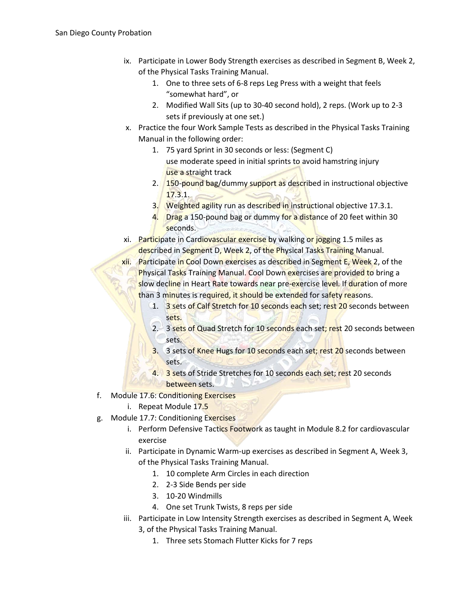- ix. Participate in Lower Body Strength exercises as described in Segment B, Week 2, of the Physical Tasks Training Manual.
	- 1. One to three sets of 6-8 reps Leg Press with a weight that feels "somewhat hard", or
	- 2. Modified Wall Sits (up to 30-40 second hold), 2 reps. (Work up to 2-3 sets if previously at one set.)
- x. Practice the four Work Sample Tests as described in the Physical Tasks Training Manual in the following order:
	- 1. 75 yard Sprint in 30 seconds or less: (Segment C) use moderate speed in initial sprints to avoid hamstring injury use a straight track
	- 2. 150-pound bag/dummy support as described in instructional objective 17.3.1.
	- 3. Weighted agility run as described in instructional objective 17.3.1.
	- 4. Drag a 150-pound bag or dummy for a distance of 20 feet within 30 seconds.
- xi. Participate in Cardiovascular exercise by walking or jogging 1.5 miles as described in Segment D, Week 2, of the Physical Tasks Training Manual.
- xii. Participate in Cool Down exercises as described in Segment E, Week 2, of the **Physical Tasks Training Manual. Cool Down exercises are provided to bring a** slow decline in Heart Rate towards near pre-exercise level. If duration of more than 3 minutes is required, it should be extended for safety reasons.
	- 1. 3 sets of Calf Stretch for 10 seconds each set; rest 20 seconds between sets.
	- 2. 3 sets of Quad Stretch for 10 seconds each set; rest 20 seconds between sets.
	- 3. 3 sets of Knee Hugs for 10 seconds each set; rest 20 seconds between sets.
	- 4. 3 sets of Stride Stretches for 10 seconds each set; rest 20 seconds between sets.
- f. Module 17.6: Conditioning Exercises
	- i. Repeat Module 17.5
- g. Module 17.7: Conditioning Exercises
	- i. Perform Defensive Tactics Footwork as taught in Module 8.2 for cardiovascular exercise
	- ii. Participate in Dynamic Warm-up exercises as described in Segment A, Week 3, of the Physical Tasks Training Manual.
		- 1. 10 complete Arm Circles in each direction
		- 2. 2-3 Side Bends per side
		- 3. 10-20 Windmills
		- 4. One set Trunk Twists, 8 reps per side
	- iii. Participate in Low Intensity Strength exercises as described in Segment A, Week 3, of the Physical Tasks Training Manual.
		- 1. Three sets Stomach Flutter Kicks for 7 reps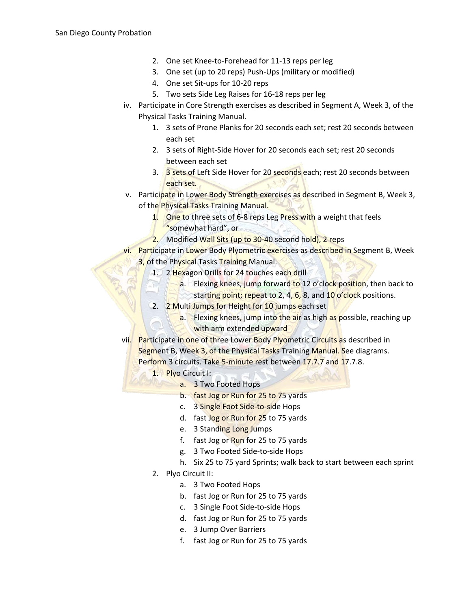- 2. One set Knee-to-Forehead for 11-13 reps per leg
- 3. One set (up to 20 reps) Push-Ups (military or modified)
- 4. One set Sit-ups for 10-20 reps
- 5. Two sets Side Leg Raises for 16-18 reps per leg
- iv. Participate in Core Strength exercises as described in Segment A, Week 3, of the Physical Tasks Training Manual.
	- 1. 3 sets of Prone Planks for 20 seconds each set; rest 20 seconds between each set
	- 2. 3 sets of Right-Side Hover for 20 seconds each set; rest 20 seconds between each set
	- 3. 3 sets of Left Side Hover for 20 seconds each; rest 20 seconds between each set.
- v. Participate in Lower Body Strength exercises as described in Segment B, Week 3, of the Physical Tasks Training Manual.
	- 1. One to three sets of 6-8 reps Leg Press with a weight that feels
		- "somewhat hard", or
	- 2. Modified Wall Sits (up to 30-40 second hold), 2 reps
- vi. Participate in Lower Body Plyometric exercises as described in Segment B, Week 3, of the Physical Tasks Training Manual.
	- 1. 2 Hexagon Drills for 24 touches each drill
		- a. Flexing knees, jump forward to 12 o'clock position, then back to starting point; repeat to 2, 4, 6, 8, and 10 o'clock positions.
	- 2. 2 Multi Jumps for Height for 10 jumps each set
		- a. Flexing knees, jump into the air as high as possible, reaching up with arm extended upward
- vii. Participate in one of three Lower Body Plyometric Circuits as described in Segment B, Week 3, of the Physical Tasks Training Manual. See diagrams. Perform 3 circuits. Take 5-minute rest between 17.7.7 and 17.7.8.
	- 1. Plyo Circuit I:
		- a. 3 Two Footed Hops
		- b. fast Jog or Run for 25 to 75 yards
		- c. 3 Single Foot Side-to-side Hops
		- d. fast Jog or Run for 25 to 75 yards
		- e. 3 Standing Long Jumps
		- f. fast Jog or Run for 25 to 75 yards
		- g. 3 Two Footed Side-to-side Hops
		- h. Six 25 to 75 yard Sprints; walk back to start between each sprint
	- 2. Plyo Circuit II:
		- a. 3 Two Footed Hops
		- b. fast Jog or Run for 25 to 75 yards
		- c. 3 Single Foot Side-to-side Hops
		- d. fast Jog or Run for 25 to 75 yards
		- e. 3 Jump Over Barriers
		- f. fast Jog or Run for 25 to 75 yards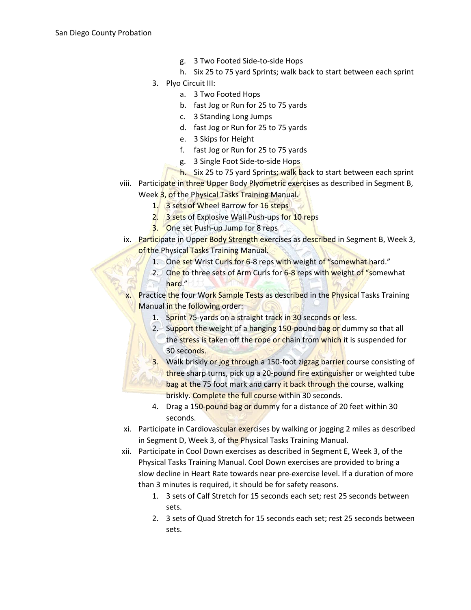- g. 3 Two Footed Side-to-side Hops
- h. Six 25 to 75 yard Sprints; walk back to start between each sprint
- 3. Plyo Circuit III:
	- a. 3 Two Footed Hops
	- b. fast Jog or Run for 25 to 75 yards
	- c. 3 Standing Long Jumps
	- d. fast Jog or Run for 25 to 75 yards
	- e. 3 Skips for Height
	- f. fast Jog or Run for 25 to 75 yards
	- g. 3 Single Foot Side-to-side Hops
	- h. Six 25 to 75 yard Sprints; walk back to start between each sprint
- viii. Participate in three Upper Body Plyometric exercises as described in Segment B, Week 3, of the Physical Tasks Training Manual.
	- 1. 3 sets of Wheel Barrow for 16 steps
	- 2. 3 sets of Explosive Wall Push-ups for 10 reps
	- 3. One set Push-up Jump for 8 reps
	- ix. Participate in Upper Body Strength exercises as described in Segment B, Week 3, of the Physical Tasks Training Manual.
		- 1. One set Wrist Curls for 6-8 reps with weight of "somewhat hard."
		- 2. One to three sets of Arm Curls for 6-8 reps with weight of "somewhat" hard."
	- x. Practice the four Work Sample Tests as described in the Physical Tasks Training Manual in the following order:
		- 1. Sprint 75-yards on a straight track in 30 seconds or less.
		- 2. Support the weight of a hanging 150-pound bag or dummy so that all the stress is taken off the rope or chain from which it is suspended for 30 seconds.
		- 3. Walk briskly or jog through a 150-foot zigzag barrier course consisting of three sharp turns, pick up a 20-pound fire extinguisher or weighted tube bag at the 75 foot mark and carry it back through the course, walking briskly. Complete the full course within 30 seconds.
		- 4. Drag a 150-pound bag or dummy for a distance of 20 feet within 30 seconds.
	- xi. Participate in Cardiovascular exercises by walking or jogging 2 miles as described in Segment D, Week 3, of the Physical Tasks Training Manual.
- xii. Participate in Cool Down exercises as described in Segment E, Week 3, of the Physical Tasks Training Manual. Cool Down exercises are provided to bring a slow decline in Heart Rate towards near pre-exercise level. If a duration of more than 3 minutes is required, it should be for safety reasons.
	- 1. 3 sets of Calf Stretch for 15 seconds each set; rest 25 seconds between sets.
	- 2. 3 sets of Quad Stretch for 15 seconds each set; rest 25 seconds between sets.